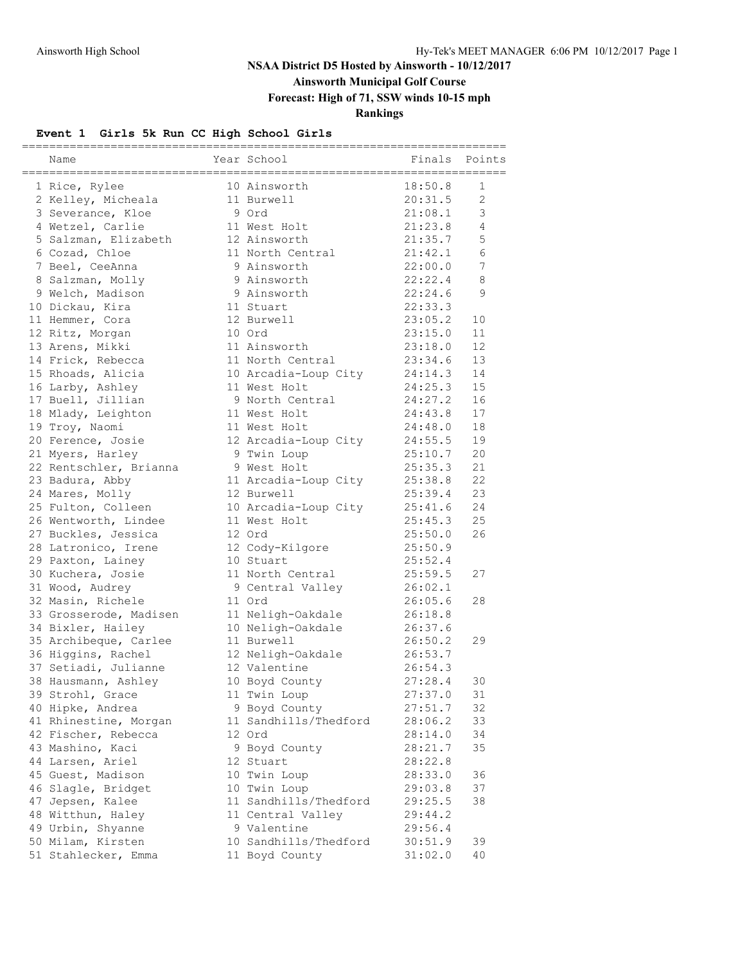# **Ainsworth Municipal Golf Course**

**Forecast: High of 71, SSW winds 10-15 mph**

### **Rankings**

#### **Event 1 Girls 5k Run CC High School Girls**

|                        | Year School           | Finals  | Points          |
|------------------------|-----------------------|---------|-----------------|
| Name                   |                       |         |                 |
| 1 Rice, Rylee          | 10 Ainsworth          | 18:50.8 | 1               |
| 2 Kelley, Micheala     | 11 Burwell            | 20:31.5 | $\overline{2}$  |
| 3 Severance, Kloe      | 9 Ord                 | 21:08.1 | 3               |
| 4 Wetzel, Carlie       | 11 West Holt          | 21:23.8 | 4               |
| 5 Salzman, Elizabeth   | 12 Ainsworth          | 21:35.7 | 5               |
| 6 Cozad, Chloe         | 11 North Central      | 21:42.1 | 6               |
| 7 Beel, CeeAnna        | 9 Ainsworth           | 22:00.0 | $7\phantom{.0}$ |
| 8 Salzman, Molly       | 9 Ainsworth           | 22:22.4 | 8               |
| 9 Welch, Madison       | 9 Ainsworth           | 22:24.6 | 9               |
| 10 Dickau, Kira        | 11 Stuart             | 22:33.3 |                 |
| 11 Hemmer, Cora        | 12 Burwell            | 23:05.2 | 10              |
| 12 Ritz, Morgan        | 10 Ord                | 23:15.0 | 11              |
| 13 Arens, Mikki        | 11 Ainsworth          | 23:18.0 | 12              |
| 14 Frick, Rebecca      | 11 North Central      | 23:34.6 | 13              |
| 15 Rhoads, Alicia      | 10 Arcadia-Loup City  | 24:14.3 | 14              |
| 16 Larby, Ashley       | 11 West Holt          | 24:25.3 | 15              |
| 17 Buell, Jillian      | 9 North Central       | 24:27.2 | 16              |
| 18 Mlady, Leighton     | 11 West Holt          | 24:43.8 | 17              |
| 19 Troy, Naomi         | 11 West Holt          | 24:48.0 | 18              |
| 20 Ference, Josie      | 12 Arcadia-Loup City  | 24:55.5 | 19              |
| 21 Myers, Harley       | 9 Twin Loup           | 25:10.7 | 20              |
|                        | 9 West Holt           | 25:35.3 | 21              |
| 22 Rentschler, Brianna | 11 Arcadia-Loup City  | 25:38.8 | 22              |
| 23 Badura, Abby        | 12 Burwell            |         | 23              |
| 24 Mares, Molly        |                       | 25:39.4 |                 |
| 25 Fulton, Colleen     | 10 Arcadia-Loup City  | 25:41.6 | 24              |
| 26 Wentworth, Lindee   | 11 West Holt          | 25:45.3 | 25              |
| 27 Buckles, Jessica    | 12 Ord                | 25:50.0 | 26              |
| 28 Latronico, Irene    | 12 Cody-Kilgore       | 25:50.9 |                 |
| 29 Paxton, Lainey      | 10 Stuart             | 25:52.4 |                 |
| 30 Kuchera, Josie      | 11 North Central      | 25:59.5 | 27              |
| 31 Wood, Audrey        | 9 Central Valley      | 26:02.1 |                 |
| 32 Masin, Richele      | 11 Ord                | 26:05.6 | 28              |
| 33 Grosserode, Madisen | 11 Neligh-Oakdale     | 26:18.8 |                 |
| 34 Bixler, Hailey      | 10 Neligh-Oakdale     | 26:37.6 |                 |
| 35 Archibeque, Carlee  | 11 Burwell            | 26:50.2 | 29              |
| 36 Higgins, Rachel     | 12 Neligh-Oakdale     | 26:53.7 |                 |
| 37 Setiadi, Julianne   | 12 Valentine          | 26:54.3 |                 |
| 38 Hausmann, Ashley    | 10 Boyd County        | 27:28.4 | 30              |
| 39 Strohl, Grace       | 11 Twin Loup          | 27:37.0 | 31              |
| 40 Hipke, Andrea       | 9 Boyd County         | 27:51.7 | 32              |
| 41 Rhinestine, Morgan  | 11 Sandhills/Thedford | 28:06.2 | 33              |
| 42 Fischer, Rebecca    | 12 Ord                | 28:14.0 | 34              |
| 43 Mashino, Kaci       | 9 Boyd County         | 28:21.7 | 35              |
| 44 Larsen, Ariel       | 12 Stuart             | 28:22.8 |                 |
| 45 Guest, Madison      | 10 Twin Loup          | 28:33.0 | 36              |
| 46 Slagle, Bridget     | 10 Twin Loup          | 29:03.8 | 37              |
| 47 Jepsen, Kalee       | 11 Sandhills/Thedford | 29:25.5 | 38              |
| 48 Witthun, Haley      | 11 Central Valley     | 29:44.2 |                 |
| 49 Urbin, Shyanne      | 9 Valentine           | 29:56.4 |                 |
| 50 Milam, Kirsten      | 10 Sandhills/Thedford | 30:51.9 | 39              |
| 51 Stahlecker, Emma    | 11 Boyd County        | 31:02.0 | 40              |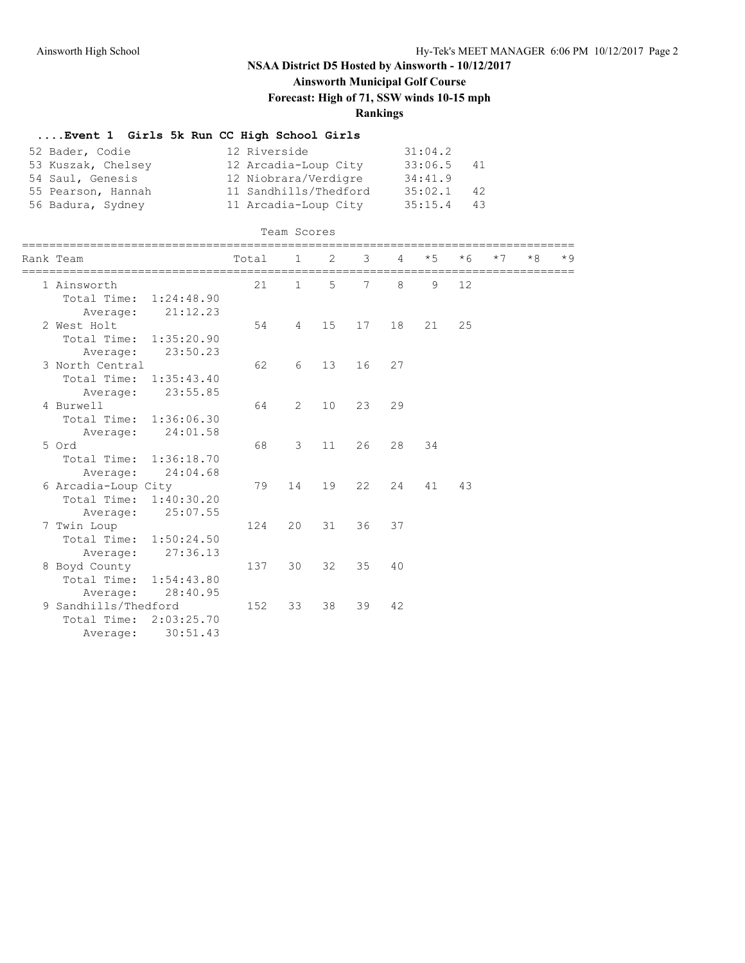**Ainsworth Municipal Golf Course**

**Forecast: High of 71, SSW winds 10-15 mph**

### **Rankings**

#### **....Event 1 Girls 5k Run CC High School Girls**

| 52 Bader, Codie    | 12 Riverside          | 31:04.2        |
|--------------------|-----------------------|----------------|
| 53 Kuszak, Chelsey | 12 Arcadia-Loup City  | 33:06.5<br>41  |
| 54 Saul, Genesis   | 12 Niobrara/Verdigre  | 34:41.9        |
| 55 Pearson, Hannah | 11 Sandhills/Thedford | 35:02.1<br>42  |
| 56 Badura, Sydney  | 11 Arcadia-Loup City  | 35:15.4<br>43. |

| Team Scores |  |
|-------------|--|
|             |  |

| Rank Team                 | Total | $\mathbf{1}$ | 2           | 3  | 4  | $*5$ | $*6$ | $*7$ | $*8$ | $*9$ |
|---------------------------|-------|--------------|-------------|----|----|------|------|------|------|------|
| 1 Ainsworth               | 21    | $\mathbf{1}$ | $5^{\circ}$ | 7  | 8  | 9    | 12   |      |      |      |
| Total Time:<br>1:24:48.90 |       |              |             |    |    |      |      |      |      |      |
| 21:12.23<br>Average:      |       |              |             |    |    |      |      |      |      |      |
| 2 West Holt               | 54    | 4            | 15          | 17 | 18 | 21   | 25   |      |      |      |
| Total Time: 1:35:20.90    |       |              |             |    |    |      |      |      |      |      |
| 23:50.23<br>Average:      |       |              |             |    |    |      |      |      |      |      |
| 3 North Central           | 62    | 6            | 13          | 16 | 27 |      |      |      |      |      |
| Total Time: 1:35:43.40    |       |              |             |    |    |      |      |      |      |      |
| 23:55.85<br>Average:      |       |              |             |    |    |      |      |      |      |      |
| 4 Burwell                 | 64    | 2            | 10          | 23 | 29 |      |      |      |      |      |
| Total Time: 1:36:06.30    |       |              |             |    |    |      |      |      |      |      |
| 24:01.58<br>Average:      |       |              |             |    |    |      |      |      |      |      |
| 5 Ord                     | 68    | 3            | 11          | 26 | 28 | 34   |      |      |      |      |
| Total Time: 1:36:18.70    |       |              |             |    |    |      |      |      |      |      |
| 24:04.68<br>Average:      |       |              |             |    |    |      |      |      |      |      |
| 6 Arcadia-Loup City       | 79    | 14           | 19          | 22 | 24 | 41   | 43   |      |      |      |
| Total Time: 1:40:30.20    |       |              |             |    |    |      |      |      |      |      |
| 25:07.55<br>Average:      |       |              |             |    |    |      |      |      |      |      |
| 7 Twin Loup               | 124   | 20           | 31          | 36 | 37 |      |      |      |      |      |
| Total Time: 1:50:24.50    |       |              |             |    |    |      |      |      |      |      |
| 27:36.13<br>Average:      |       |              |             |    |    |      |      |      |      |      |
| 8 Boyd County             | 137   | 30           | 32          | 35 | 40 |      |      |      |      |      |
| Total Time: 1:54:43.80    |       |              |             |    |    |      |      |      |      |      |
| 28:40.95<br>Average:      |       |              |             |    |    |      |      |      |      |      |
| 9 Sandhills/Thedford      | 152   | 33           | 38          | 39 | 42 |      |      |      |      |      |
| Total Time: 2:03:25.70    |       |              |             |    |    |      |      |      |      |      |
| 30:51.43<br>Average:      |       |              |             |    |    |      |      |      |      |      |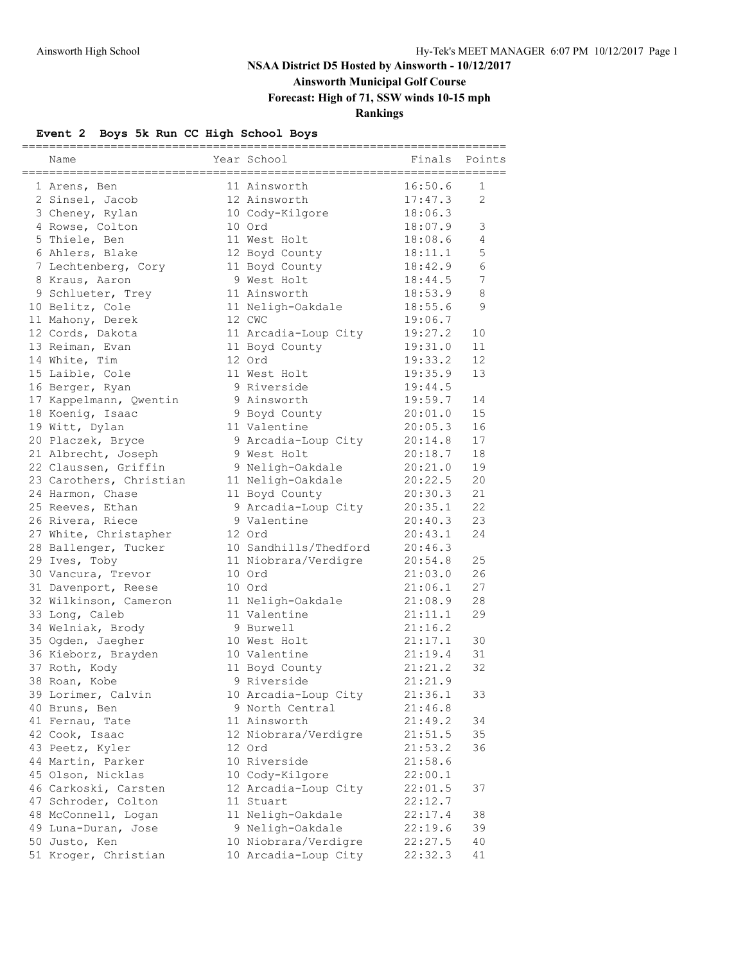# **Ainsworth Municipal Golf Course**

**Forecast: High of 71, SSW winds 10-15 mph**

### **Rankings**

### **Event 2 Boys 5k Run CC High School Boys**

| Name                    | Year School           | Finals  | Points         |
|-------------------------|-----------------------|---------|----------------|
|                         |                       |         |                |
| 1 Arens, Ben            | 11 Ainsworth          | 16:50.6 | 1              |
| 2 Sinsel, Jacob         | 12 Ainsworth          | 17:47.3 | $\overline{2}$ |
| 3 Cheney, Rylan         | 10 Cody-Kilgore       | 18:06.3 |                |
| 4 Rowse, Colton         | 10 Ord                | 18:07.9 | 3              |
| 5 Thiele, Ben           | 11 West Holt          | 18:08.6 | 4              |
| 6 Ahlers, Blake         | 12 Boyd County        | 18:11.1 | 5              |
| 7 Lechtenberg, Cory     | 11 Boyd County        | 18:42.9 | 6              |
| 8 Kraus, Aaron          | 9 West Holt           | 18:44.5 | 7              |
| 9 Schlueter, Trey       | 11 Ainsworth          | 18:53.9 | 8              |
| 10 Belitz, Cole         | 11 Neligh-Oakdale     | 18:55.6 | 9              |
| 11 Mahony, Derek        | 12 CWC                | 19:06.7 |                |
| 12 Cords, Dakota        | 11 Arcadia-Loup City  | 19:27.2 | 10             |
| 13 Reiman, Evan         | 11 Boyd County        | 19:31.0 | 11             |
| 14 White, Tim           | 12 Ord                | 19:33.2 | 12             |
| 15 Laible, Cole         | 11 West Holt          | 19:35.9 | 13             |
| 16 Berger, Ryan         | 9 Riverside           | 19:44.5 |                |
| 17 Kappelmann, Qwentin  | 9 Ainsworth           | 19:59.7 | 14             |
| 18 Koenig, Isaac        | 9 Boyd County         | 20:01.0 | 15             |
| 19 Witt, Dylan          | 11 Valentine          | 20:05.3 | 16             |
| 20 Placzek, Bryce       | 9 Arcadia-Loup City   | 20:14.8 | 17             |
| 21 Albrecht, Joseph     | 9 West Holt           | 20:18.7 | 18             |
| 22 Claussen, Griffin    | 9 Neligh-Oakdale      | 20:21.0 | 19             |
| 23 Carothers, Christian | 11 Neligh-Oakdale     | 20:22.5 | 20             |
| 24 Harmon, Chase        | 11 Boyd County        | 20:30.3 | 21             |
| 25 Reeves, Ethan        | 9 Arcadia-Loup City   | 20:35.1 | 22             |
| 26 Rivera, Riece        | 9 Valentine           | 20:40.3 | 23             |
| 27 White, Christapher   | 12 Ord                | 20:43.1 | 24             |
| 28 Ballenger, Tucker    | 10 Sandhills/Thedford | 20:46.3 |                |
| 29 Ives, Toby           | 11 Niobrara/Verdigre  | 20:54.8 | 25             |
| 30 Vancura, Trevor      | 10 Ord                | 21:03.0 | 26             |
| 31 Davenport, Reese     | 10 Ord                | 21:06.1 | 27             |
| 32 Wilkinson, Cameron   | 11 Neligh-Oakdale     | 21:08.9 | 28             |
| 33 Long, Caleb          | 11 Valentine          | 21:11.1 | 29             |
| 34 Welniak, Brody       | 9 Burwell             | 21:16.2 |                |
| 35 Ogden, Jaegher       | 10 West Holt          | 21:17.1 | 30             |
| 36 Kieborz, Brayden     | 10 Valentine          | 21:19.4 | 31             |
| 37 Roth, Kody           | 11 Boyd County        | 21:21.2 | 32             |
| 38 Roan, Kobe           | 9 Riverside           | 21:21.9 |                |
| 39 Lorimer, Calvin      | 10 Arcadia-Loup City  | 21:36.1 | 33             |
| 40 Bruns, Ben           | 9 North Central       | 21:46.8 |                |
| 41 Fernau, Tate         | 11 Ainsworth          | 21:49.2 | 34             |
| 42 Cook, Isaac          | 12 Niobrara/Verdigre  | 21:51.5 | 35             |
| 43 Peetz, Kyler         | 12 Ord                | 21:53.2 | 36             |
| 44 Martin, Parker       | 10 Riverside          | 21:58.6 |                |
| 45 Olson, Nicklas       | 10 Cody-Kilgore       | 22:00.1 |                |
| 46 Carkoski, Carsten    | 12 Arcadia-Loup City  | 22:01.5 | 37             |
| 47 Schroder, Colton     | 11 Stuart             | 22:12.7 |                |
| 48 McConnell, Logan     | 11 Neligh-Oakdale     | 22:17.4 | 38             |
| 49 Luna-Duran, Jose     | 9 Neligh-Oakdale      | 22:19.6 | 39             |
| 50 Justo, Ken           | 10 Niobrara/Verdigre  | 22:27.5 | 40             |
| 51 Kroger, Christian    | 10 Arcadia-Loup City  | 22:32.3 | 41             |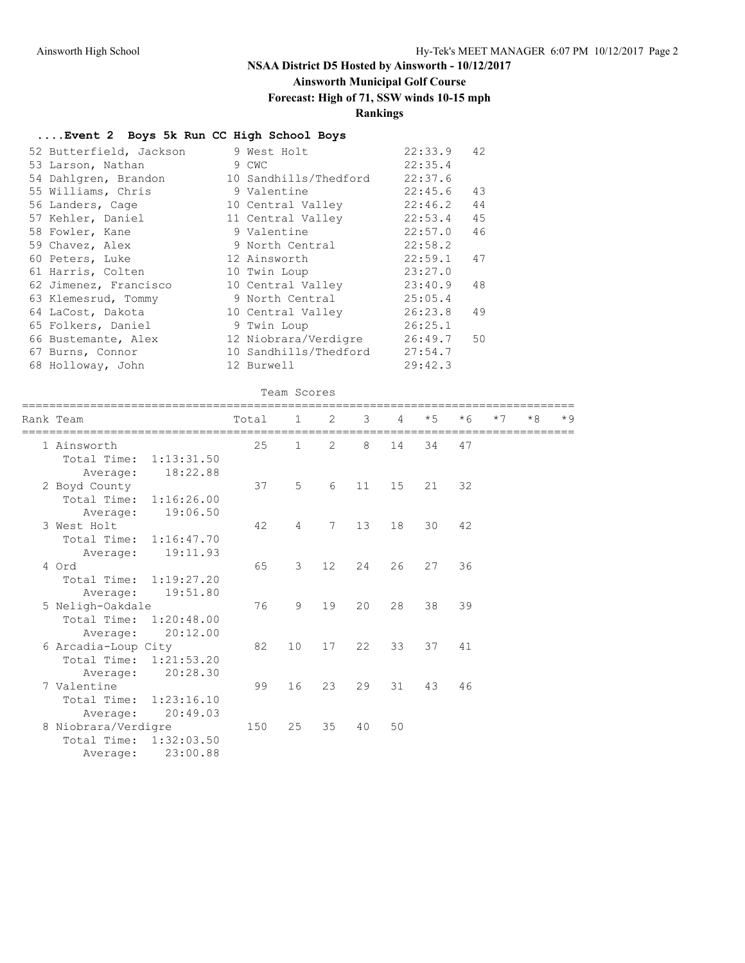## **Ainsworth Municipal Golf Course**

### **Forecast: High of 71, SSW winds 10-15 mph**

### **Rankings**

#### **....Event 2 Boys 5k Run CC High School Boys**

| 52 Butterfield, Jackson | 9 West Holt           | 42<br>22:33.9 |
|-------------------------|-----------------------|---------------|
| 53 Larson, Nathan       | 9 CWC                 | 22:35.4       |
| 54 Dahlgren, Brandon    | 10 Sandhills/Thedford | 22:37.6       |
| 55 Williams, Chris      | 9 Valentine           | 22:45.6<br>43 |
| 56 Landers, Cage        | 10 Central Valley     | 44<br>22:46.2 |
| 57 Kehler, Daniel       | 11 Central Valley     | 45<br>22:53.4 |
| 58 Fowler, Kane         | 9 Valentine           | 46<br>22:57.0 |
| 59 Chavez, Alex         | 9 North Central       | 22:58.2       |
| 60 Peters, Luke         | 12 Ainsworth          | 22:59.1<br>47 |
| 61 Harris, Colten       | 10 Twin Loup          | 23:27.0       |
| 62 Jimenez, Francisco   | 10 Central Valley     | 23:40.9<br>48 |
| 63 Klemesrud, Tommy     | 9 North Central       | 25:05.4       |
| 64 LaCost, Dakota       | 10 Central Valley     | 26:23.8<br>49 |
| 65 Folkers, Daniel      | 9 Twin Loup           | 26:25.1       |
| 66 Bustemante, Alex     | 12 Niobrara/Verdigre  | 26:49.7<br>50 |
| 67 Burns, Connor        | 10 Sandhills/Thedford | 27:54.7       |
| 68 Holloway, John       | 12 Burwell            | 29:42.3       |

#### Team Scores

| Rank Team              |          | Total | $\mathbf{1}$   | 2           | $\mathcal{S}$ | $\overline{4}$ | $*5$ | $*6$ | $*7$ | $*8$ | $*9$ |
|------------------------|----------|-------|----------------|-------------|---------------|----------------|------|------|------|------|------|
|                        |          |       |                | 2           | 8             |                |      |      |      |      |      |
| 1 Ainsworth            |          | 25    | $\mathbf{1}$   |             |               | 14             | 34   | 47   |      |      |      |
| Total Time: 1:13:31.50 |          |       |                |             |               |                |      |      |      |      |      |
| Average:               | 18:22.88 |       |                |             |               |                |      |      |      |      |      |
| 2 Boyd County          |          | 37    | 5              | 6           | 11            | 15             | 21   | 32   |      |      |      |
| Total Time: 1:16:26.00 |          |       |                |             |               |                |      |      |      |      |      |
| Average:               | 19:06.50 |       |                |             |               |                |      |      |      |      |      |
| 3 West Holt            |          | 42    | $\overline{4}$ | $7^{\circ}$ | 13            | 18             | 30   | 42   |      |      |      |
| Total Time: 1:16:47.70 |          |       |                |             |               |                |      |      |      |      |      |
| Average:               | 19:11.93 |       |                |             |               |                |      |      |      |      |      |
| 4 Ord                  |          | 65    | 3              | 12          | 24            | 26             | 27   | 36   |      |      |      |
| Total Time: 1:19:27.20 |          |       |                |             |               |                |      |      |      |      |      |
| Average:               | 19:51.80 |       |                |             |               |                |      |      |      |      |      |
| 5 Neligh-Oakdale       |          | 76    | 9              | 19          | 20            | 28             | 38   | 39   |      |      |      |
| Total Time: 1:20:48.00 |          |       |                |             |               |                |      |      |      |      |      |
| Average:               | 20:12.00 |       |                |             |               |                |      |      |      |      |      |
| 6 Arcadia-Loup City    |          | 82    | 10             | 17          | 22            | 33             | 37   | 41   |      |      |      |
| Total Time: 1:21:53.20 |          |       |                |             |               |                |      |      |      |      |      |
| Average:               | 20:28.30 |       |                |             |               |                |      |      |      |      |      |
| 7 Valentine            |          | 99    | 16             | 23          | 29            | 31             | 43   | 46   |      |      |      |
| Total Time: 1:23:16.10 |          |       |                |             |               |                |      |      |      |      |      |
|                        | 20:49.03 |       |                |             |               |                |      |      |      |      |      |
| Average:               |          |       |                | 35          |               |                |      |      |      |      |      |
| 8 Niobrara/Verdigre    |          | 150   | 25             |             | 40            | 50             |      |      |      |      |      |
| Total Time: 1:32:03.50 |          |       |                |             |               |                |      |      |      |      |      |
| Average:               | 23:00.88 |       |                |             |               |                |      |      |      |      |      |